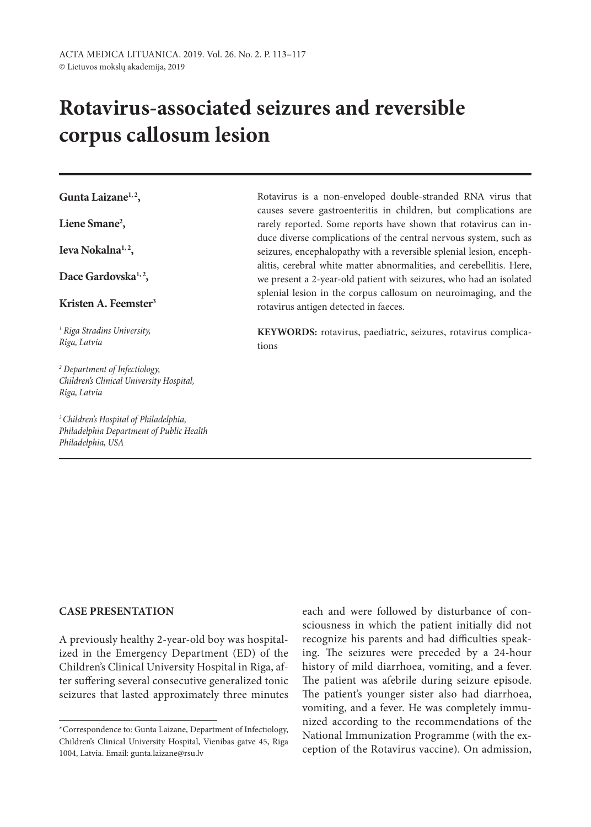# **Rotavirus-associated seizures and reversible corpus callosum lesion**

**Gunta Laizane1, 2,**

**Liene Smane2 ,**

**Ieva Nokalna1, 2,**

Dace Gardovska<sup>1,2</sup>,

**Kristen A. Feemster3**

*1 Riga Stradins University, Riga, Latvia*

*2 Department of Infectiology, Children's Clinical University Hospital, Riga, Latvia*

*3 Children's Hospital of Philadelphia, Philadelphia Department of Public Health Philadelphia, USA*

Rotavirus is a non-enveloped double-stranded RNA virus that causes severe gastroenteritis in children, but complications are rarely reported. Some reports have shown that rotavirus can induce diverse complications of the central nervous system, such as seizures, encephalopathy with a reversible splenial lesion, encephalitis, cerebral white matter abnormalities, and cerebellitis. Here, we present a 2-year-old patient with seizures, who had an isolated splenial lesion in the corpus callosum on neuroimaging, and the rotavirus antigen detected in faeces.

**KEYWORDS:** rotavirus, paediatric, seizures, rotavirus complications

## **CASE PRESENTATION**

A previously healthy 2-year-old boy was hospitalized in the Emergency Department (ED) of the Children's Clinical University Hospital in Riga, after suffering several consecutive generalized tonic seizures that lasted approximately three minutes each and were followed by disturbance of consciousness in which the patient initially did not recognize his parents and had difficulties speaking. The seizures were preceded by a 24-hour history of mild diarrhoea, vomiting, and a fever. The patient was afebrile during seizure episode. The patient's younger sister also had diarrhoea, vomiting, and a fever. He was completely immunized according to the recommendations of the National Immunization Programme (with the exception of the Rotavirus vaccine). On admission,

<sup>\*</sup>Correspondence to: Gunta Laizane, Department of Infectiology, Children's Clinical University Hospital, Vienibas gatve 45, Riga 1004, Latvia. Email: gunta.laizane@rsu.lv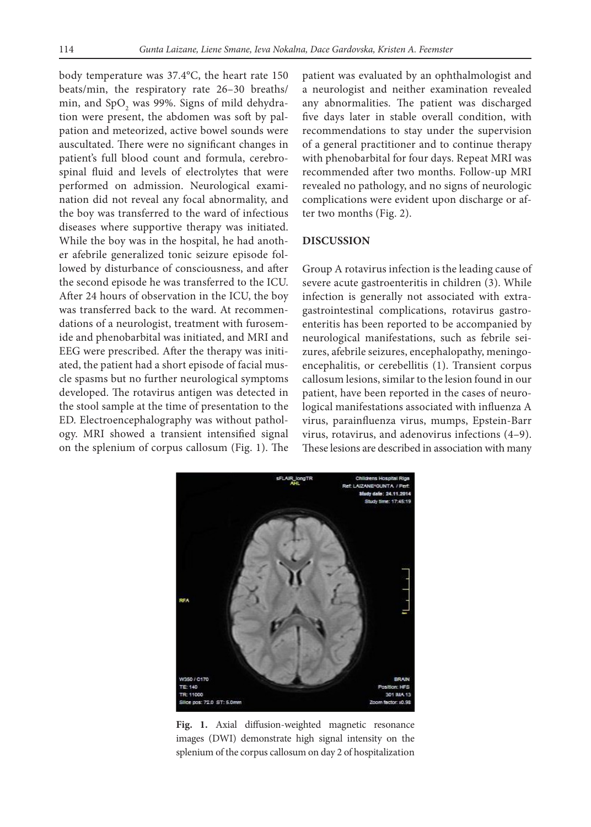body temperature was 37.4°C, the heart rate 150 beats/min, the respiratory rate 26–30 breaths/ min, and  $\text{SpO}_2$  was 99%. Signs of mild dehydration were present, the abdomen was soft by palpation and meteorized, active bowel sounds were auscultated. There were no significant changes in patient's full blood count and formula, cerebrospinal fluid and levels of electrolytes that were performed on admission. Neurological examination did not reveal any focal abnormality, and the boy was transferred to the ward of infectious diseases where supportive therapy was initiated. While the boy was in the hospital, he had another afebrile generalized tonic seizure episode followed by disturbance of consciousness, and after the second episode he was transferred to the ICU. After 24 hours of observation in the ICU, the boy was transferred back to the ward. At recommendations of a neurologist, treatment with furosemide and phenobarbital was initiated, and MRI and EEG were prescribed. After the therapy was initiated, the patient had a short episode of facial muscle spasms but no further neurological symptoms developed. The rotavirus antigen was detected in the stool sample at the time of presentation to the ED. Electroencephalography was without pathology. MRI showed a transient intensified signal on the splenium of corpus callosum (Fig. 1). The

patient was evaluated by an ophthalmologist and a neurologist and neither examination revealed any abnormalities. The patient was discharged five days later in stable overall condition, with recommendations to stay under the supervision of a general practitioner and to continue therapy with phenobarbital for four days. Repeat MRI was recommended after two months. Follow-up MRI revealed no pathology, and no signs of neurologic complications were evident upon discharge or after two months (Fig. 2).

## **DISCUSSION**

Group A rotavirus infection is the leading cause of severe acute gastroenteritis in children (3). While infection is generally not associated with extragastrointestinal complications, rotavirus gastroenteritis has been reported to be accompanied by neurological manifestations, such as febrile seizures, afebrile seizures, encephalopathy, meningoencephalitis, or cerebellitis (1). Transient corpus callosum lesions, similar to the lesion found in our patient, have been reported in the cases of neurological manifestations associated with influenza A virus, parainfluenza virus, mumps, Epstein-Barr virus, rotavirus, and adenovirus infections (4–9). These lesions are described in association with many



**Fig. 1.** Axial diffusion-weighted magnetic resonance images (DWI) demonstrate high signal intensity on the splenium of the corpus callosum on day 2 of hospitalization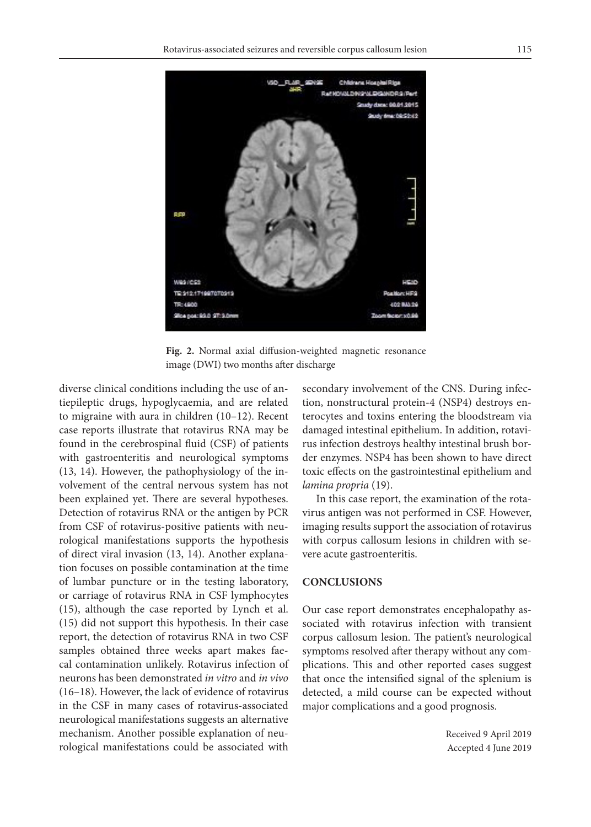

**Fig. 2.** Normal axial diffusion-weighted magnetic resonance image (DWI) two months after discharge

diverse clinical conditions including the use of antiepileptic drugs, hypoglycaemia, and are related to migraine with aura in children (10–12). Recent case reports illustrate that rotavirus RNA may be found in the cerebrospinal fluid (CSF) of patients with gastroenteritis and neurological symptoms (13, 14). However, the pathophysiology of the involvement of the central nervous system has not been explained yet. There are several hypotheses. Detection of rotavirus RNA or the antigen by PCR from CSF of rotavirus-positive patients with neurological manifestations supports the hypothesis of direct viral invasion (13, 14). Another explanation focuses on possible contamination at the time of lumbar puncture or in the testing laboratory, or carriage of rotavirus RNA in CSF lymphocytes (15), although the case reported by Lynch et al. (15) did not support this hypothesis. In their case report, the detection of rotavirus RNA in two CSF samples obtained three weeks apart makes faecal contamination unlikely. Rotavirus infection of neurons has been demonstrated *in vitro* and *in vivo* (16–18). However, the lack of evidence of rotavirus in the CSF in many cases of rotavirus-associated neurological manifestations suggests an alternative mechanism. Another possible explanation of neurological manifestations could be associated with secondary involvement of the CNS. During infection, nonstructural protein-4 (NSP4) destroys enterocytes and toxins entering the bloodstream via damaged intestinal epithelium. In addition, rotavirus infection destroys healthy intestinal brush border enzymes. NSP4 has been shown to have direct toxic effects on the gastrointestinal epithelium and *lamina propria* (19).

In this case report, the examination of the rotavirus antigen was not performed in CSF. However, imaging results support the association of rotavirus with corpus callosum lesions in children with severe acute gastroenteritis.

## **CONCLUSIONS**

Our case report demonstrates encephalopathy associated with rotavirus infection with transient corpus callosum lesion. The patient's neurological symptoms resolved after therapy without any complications. This and other reported cases suggest that once the intensified signal of the splenium is detected, a mild course can be expected without major complications and a good prognosis.

> Received 9 April 2019 Accepted 4 June 2019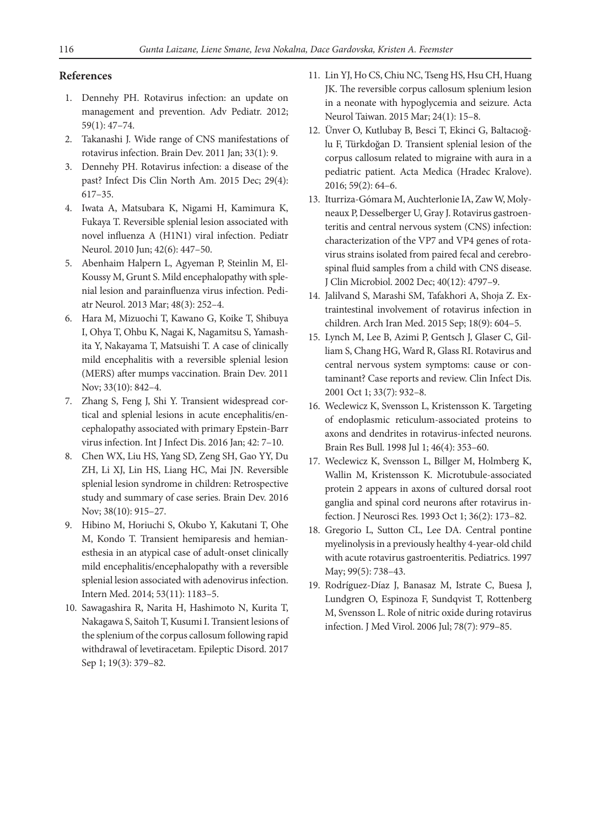#### **References**

- 1. Dennehy PH. Rotavirus infection: an update on management and prevention. Adv Pediatr. 2012; 59(1): 47–74.
- 2. Takanashi J. Wide range of CNS manifestations of rotavirus infection. Brain Dev. 2011 Jan; 33(1): 9.
- 3. Dennehy PH. Rotavirus infection: a disease of the past? Infect Dis Clin North Am. 2015 Dec; 29(4): 617–35.
- 4. Iwata A, Matsubara K, Nigami H, Kamimura K, Fukaya T. Reversible splenial lesion associated with novel influenza A (H1N1) viral infection. Pediatr Neurol. 2010 Jun; 42(6): 447–50.
- 5. Abenhaim Halpern L, Agyeman P, Steinlin M, El-Koussy M, Grunt S. Mild encephalopathy with splenial lesion and parainfluenza virus infection. Pediatr Neurol. 2013 Mar; 48(3): 252–4.
- 6. Hara M, Mizuochi T, Kawano G, Koike T, Shibuya I, Ohya T, Ohbu K, Nagai K, Nagamitsu S, Yamashita Y, Nakayama T, Matsuishi T. A case of clinically mild encephalitis with a reversible splenial lesion (MERS) after mumps vaccination. Brain Dev. 2011 Nov; 33(10): 842–4.
- 7. Zhang S, Feng J, Shi Y. Transient widespread cortical and splenial lesions in acute encephalitis/encephalopathy associated with primary Epstein-Barr virus infection. Int J Infect Dis. 2016 Jan; 42: 7–10.
- 8. Chen WX, Liu HS, Yang SD, Zeng SH, Gao YY, Du ZH, Li XJ, Lin HS, Liang HC, Mai JN. Reversible splenial lesion syndrome in children: Retrospective study and summary of case series. Brain Dev. 2016 Nov; 38(10): 915–27.
- 9. Hibino M, Horiuchi S, Okubo Y, Kakutani T, Ohe M, Kondo T. Transient hemiparesis and hemianesthesia in an atypical case of adult-onset clinically mild encephalitis/encephalopathy with a reversible splenial lesion associated with adenovirus infection. Intern Med. 2014; 53(11): 1183–5.
- 10. Sawagashira R, Narita H, Hashimoto N, Kurita T, Nakagawa S, Saitoh T, Kusumi I. Transient lesions of the splenium of the corpus callosum following rapid withdrawal of levetiracetam. Epileptic Disord. 2017 Sep 1; 19(3): 379–82.
- 11. Lin YJ, Ho CS, Chiu NC, Tseng HS, Hsu CH, Huang JK. The reversible corpus callosum splenium lesion in a neonate with hypoglycemia and seizure. Acta Neurol Taiwan. 2015 Mar; 24(1): 15–8.
- 12. Ünver O, Kutlubay B, Besci T, Ekinci G, Baltacıoğlu F, Türkdoğan D. Transient splenial lesion of the corpus callosum related to migraine with aura in a pediatric patient. Acta Medica (Hradec Kralove). 2016; 59(2): 64–6.
- 13. Iturriza-Gómara M, Auchterlonie IA, Zaw W, Molyneaux P, Desselberger U, Gray J. Rotavirus gastroenteritis and central nervous system (CNS) infection: characterization of the VP7 and VP4 genes of rotavirus strains isolated from paired fecal and cerebrospinal fluid samples from a child with CNS disease. J Clin Microbiol. 2002 Dec; 40(12): 4797–9.
- 14. Jalilvand S, Marashi SM, Tafakhori A, Shoja Z. Extraintestinal involvement of rotavirus infection in children. Arch Iran Med. 2015 Sep; 18(9): 604–5.
- 15. Lynch M, Lee B, Azimi P, Gentsch J, Glaser C, Gilliam S, Chang HG, Ward R, Glass RI. Rotavirus and central nervous system symptoms: cause or contaminant? Case reports and review. Clin Infect Dis. 2001 Oct 1; 33(7): 932–8.
- 16. Weclewicz K, Svensson L, Kristensson K. Targeting of endoplasmic reticulum-associated proteins to axons and dendrites in rotavirus-infected neurons. Brain Res Bull. 1998 Jul 1; 46(4): 353–60.
- 17. Weclewicz K, Svensson L, Billger M, Holmberg K, Wallin M, Kristensson K. Microtubule-associated protein 2 appears in axons of cultured dorsal root ganglia and spinal cord neurons after rotavirus infection. J Neurosci Res. 1993 Oct 1; 36(2): 173–82.
- 18. Gregorio L, Sutton CL, Lee DA. Central pontine myelinolysis in a previously healthy 4-year-old child with acute rotavirus gastroenteritis. Pediatrics. 1997 May; 99(5): 738–43.
- 19. Rodríguez-Díaz J, Banasaz M, Istrate C, Buesa J, Lundgren O, Espinoza F, Sundqvist T, Rottenberg M, Svensson L. Role of nitric oxide during rotavirus infection. J Med Virol. 2006 Jul; 78(7): 979–85.